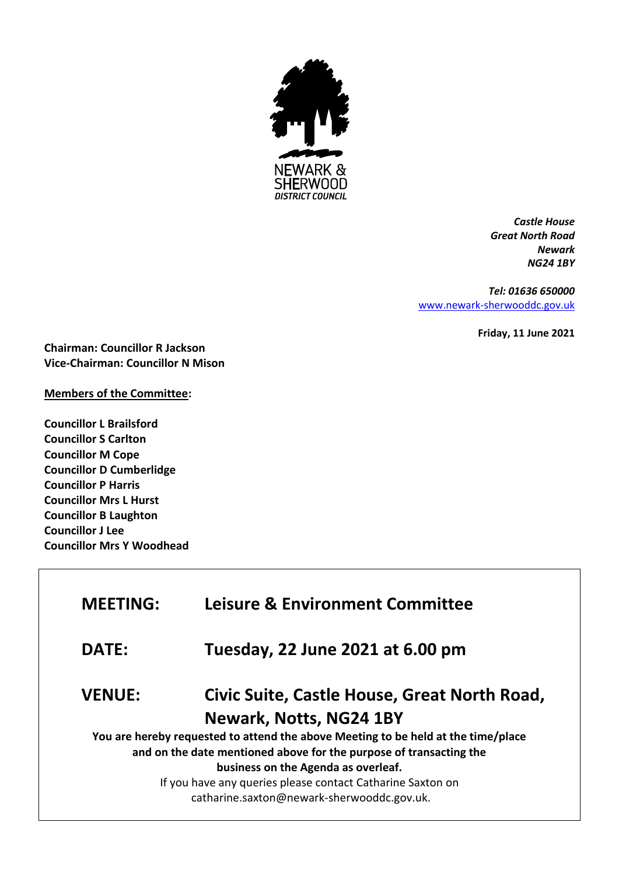

*Castle House Great North Road Newark NG24 1BY*

*Tel: 01636 650000* [www.newark-sherwooddc.gov.uk](http://www.newark-sherwooddc.gov.uk/)

**Friday, 11 June 2021**

**Chairman: Councillor R Jackson Vice-Chairman: Councillor N Mison**

## **Members of the Committee:**

**Councillor L Brailsford Councillor S Carlton Councillor M Cope Councillor D Cumberlidge Councillor P Harris Councillor Mrs L Hurst Councillor B Laughton Councillor J Lee Councillor Mrs Y Woodhead**

| <b>MEETING:</b> | <b>Leisure &amp; Environment Committee</b>                                        |
|-----------------|-----------------------------------------------------------------------------------|
| DATE:           | Tuesday, 22 June 2021 at 6.00 pm                                                  |
| <b>VENUE:</b>   | Civic Suite, Castle House, Great North Road,                                      |
|                 | Newark, Notts, NG24 1BY                                                           |
|                 | You are hereby requested to attend the above Meeting to be held at the time/place |
|                 | and on the date mentioned above for the purpose of transacting the                |
|                 | business on the Agenda as overleaf.                                               |
|                 | If you have any queries please contact Catharine Saxton on                        |
|                 | catharine.saxton@newark-sherwooddc.gov.uk.                                        |